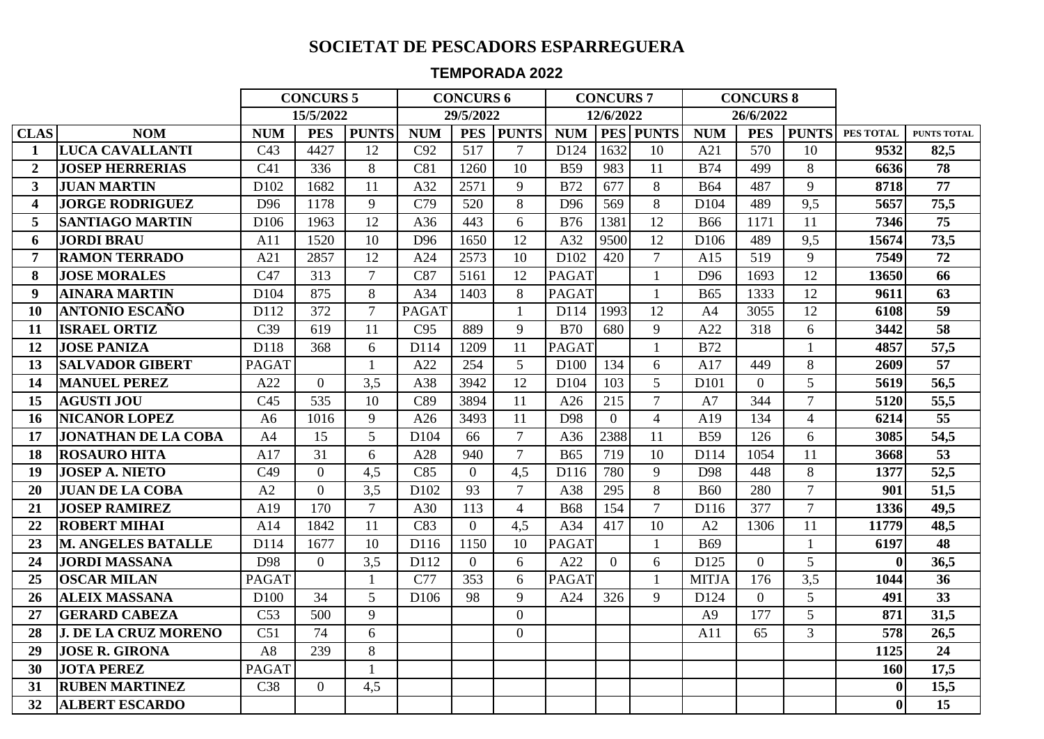## **SOCIETAT DE PESCADORS ESPARREGUERA**

## **TEMPORADA 2022**

|                |                             | <b>CONCURS 5</b> |                  |                | <b>CONCURS 6</b> |                |                | <b>CONCURS 7</b> |          |                          | <b>CONCURS 8</b> |            |                 |              |                    |
|----------------|-----------------------------|------------------|------------------|----------------|------------------|----------------|----------------|------------------|----------|--------------------------|------------------|------------|-----------------|--------------|--------------------|
|                |                             | 15/5/2022        |                  |                | 29/5/2022        |                |                | 12/6/2022        |          |                          | 26/6/2022        |            |                 |              |                    |
| <b>CLAS</b>    | <b>NOM</b>                  | <b>NUM</b>       | <b>PES</b>       | <b>PUNTS</b>   | <b>NUM</b>       |                | PES PUNTS      | <b>NUM</b>       |          | <b>PES PUNTS</b>         | <b>NUM</b>       | <b>PES</b> | <b>PUNTS</b>    | PES TOTAL    | <b>PUNTS TOTAL</b> |
| $\mathbf{1}$   | LUCA CAVALLANTI             | C43              | 4427             | 12             | C92              | 517            | $\overline{7}$ | D124             | 1632     | 10                       | A21              | 570        | 10              | 9532         | 82,5               |
| $\overline{2}$ | <b>JOSEP HERRERIAS</b>      | C <sub>41</sub>  | 336              | 8              | C81              | 1260           | 10             | <b>B59</b>       | 983      | 11                       | <b>B74</b>       | 499        | 8               | 6636         | 78                 |
| 3 <sup>1</sup> | <b>JUAN MARTIN</b>          | D <sub>102</sub> | 1682             | 11             | A32              | 2571           | 9              | <b>B72</b>       | 677      | 8                        | <b>B64</b>       | 487        | 9               | 8718         | 77                 |
| 4              | <b>JORGE RODRIGUEZ</b>      | D <sub>96</sub>  | 1178             | 9              | C79              | 520            | 8              | D <sub>96</sub>  | 569      | 8                        | D104             | 489        | 9,5             | 5657         | 75,5               |
| 5              | <b>SANTIAGO MARTIN</b>      | D <sub>106</sub> | 1963             | 12             | A36              | 443            | 6              | <b>B76</b>       | 1381     | 12                       | <b>B66</b>       | 1171       | 11              | 7346         | 75                 |
| 6              | <b>JORDI BRAU</b>           | A11              | 1520             | 10             | D <sub>96</sub>  | 1650           | 12             | A32              | 9500     | 12                       | D106             | 489        | 9,5             | 15674        | 73,5               |
| 7              | <b>RAMON TERRADO</b>        | A21              | 2857             | 12             | A24              | 2573           | 10             | D <sub>102</sub> | 420      | $\overline{7}$           | A15              | 519        | 9               | 7549         | 72                 |
| 8              | <b>JOSE MORALES</b>         | C47              | 313              | $\overline{7}$ | C87              | 5161           | 12             | <b>PAGAT</b>     |          | $\mathbf{1}$             | D <sub>96</sub>  | 1693       | 12              | 13650        | 66                 |
| 9              | <b>AINARA MARTIN</b>        | D104             | 875              | 8              | A34              | 1403           | 8              | <b>PAGAT</b>     |          | $\mathbf{1}$             | <b>B65</b>       | 1333       | 12              | 9611         | 63                 |
| 10             | <b>ANTONIO ESCAÑO</b>       | D112             | 372              | $\tau$         | <b>PAGAT</b>     |                | $\mathbf{1}$   | D114             | 1993     | 12                       | A <sub>4</sub>   | 3055       | 12              | 6108         | $\overline{59}$    |
| 11             | <b>ISRAEL ORTIZ</b>         | C39              | 619              | 11             | C95              | 889            | 9              | <b>B70</b>       | 680      | 9                        | A22              | 318        | 6               | 3442         | 58                 |
| 12             | <b>JOSE PANIZA</b>          | D118             | 368              | 6              | D114             | 1209           | 11             | <b>PAGAT</b>     |          | $\mathbf{1}$             | <b>B72</b>       |            | $\overline{1}$  | 4857         | 57,5               |
| 13             | <b>SALVADOR GIBERT</b>      | <b>PAGAT</b>     |                  |                | A22              | 254            | 5              | D <sub>100</sub> | 134      | 6                        | A17              | 449        | 8               | 2609         | 57                 |
| 14             | <b>MANUEL PEREZ</b>         | A22              | $\overline{0}$   | 3,5            | A38              | 3942           | 12             | D104             | 103      | 5                        | D <sub>101</sub> | $\Omega$   | $\overline{5}$  | 5619         | 56,5               |
| 15             | <b>AGUSTI JOU</b>           | C <sub>45</sub>  | $\overline{535}$ | 10             | C89              | 3894           | 11             | A26              | 215      | $\overline{7}$           | A7               | 344        | $7\phantom{.0}$ | 5120         | 55,5               |
| 16             | <b>NICANOR LOPEZ</b>        | A6               | 1016             | $\mathbf Q$    | A26              | 3493           | 11             | D98              | $\theta$ | $\overline{\mathcal{A}}$ | A19              | 134        | $\overline{4}$  | 6214         | 55                 |
| 17             | <b>JONATHAN DE LA COBA</b>  | A <sub>4</sub>   | 15               | 5              | D104             | 66             | $\overline{7}$ | A36              | 2388     | 11                       | <b>B59</b>       | 126        | 6               | 3085         | 54,5               |
| 18             | <b>ROSAURO HITA</b>         | A17              | 31               | 6              | A28              | 940            | $\tau$         | <b>B65</b>       | 719      | 10                       | D114             | 1054       | 11              | 3668         | 53                 |
| 19             | <b>JOSEP A. NIETO</b>       | C49              | $\overline{0}$   | 4,5            | C85              | $\overline{0}$ | 4,5            | D116             | 780      | 9                        | D98              | 448        | 8               | 1377         | 52,5               |
| 20             | <b>JUAN DE LA COBA</b>      | A2               | $\Omega$         | 3,5            | D <sub>102</sub> | 93             | $\tau$         | A38              | 295      | 8                        | <b>B60</b>       | 280        | $\overline{7}$  | 901          | 51,5               |
| 21             | <b>JOSEP RAMIREZ</b>        | A19              | 170              | $\tau$         | A30              | 113            | $\overline{4}$ | <b>B68</b>       | 154      | $\tau$                   | D116             | 377        | $\tau$          | 1336         | 49,5               |
| 22             | <b>ROBERT MIHAI</b>         | A14              | 1842             | 11             | C83              | $\overline{0}$ | 4,5            | A34              | 417      | 10                       | A2               | 1306       | 11              | 11779        | 48,5               |
| 23             | <b>M. ANGELES BATALLE</b>   | D114             | 1677             | 10             | D116             | 1150           | 10             | <b>PAGAT</b>     |          | $\mathbf{1}$             | <b>B69</b>       |            | 1               | 6197         | 48                 |
| 24             | <b>JORDI MASSANA</b>        | D98              | $\Omega$         | 3,5            | D112             | $\Omega$       | 6              | A22              | $\Omega$ | 6                        | D125             | $\Omega$   | 5               | $\mathbf{0}$ | 36,5               |
| 25             | <b>OSCAR MILAN</b>          | <b>PAGAT</b>     |                  | $\overline{1}$ | C77              | 353            | 6              | <b>PAGAT</b>     |          | $\mathbf{1}$             | <b>MITJA</b>     | 176        | 3,5             | 1044         | 36                 |
| 26             | <b>ALEIX MASSANA</b>        | D <sub>100</sub> | 34               | 5              | D <sub>106</sub> | 98             | 9              | A24              | 326      | 9                        | D124             | $\theta$   | 5               | 491          | 33                 |
| 27             | <b>GERARD CABEZA</b>        | C <sub>53</sub>  | 500              | 9              |                  |                | $\overline{0}$ |                  |          |                          | A9               | 177        | $\overline{5}$  | 871          | 31,5               |
| 28             | <b>J. DE LA CRUZ MORENO</b> | C51              | 74               | 6              |                  |                | $\overline{0}$ |                  |          |                          | A11              | 65         | $\overline{3}$  | 578          | 26,5               |
| 29             | <b>JOSE R. GIRONA</b>       | A8               | 239              | 8              |                  |                |                |                  |          |                          |                  |            |                 | 1125         | 24                 |
| 30             | <b>JOTA PEREZ</b>           | <b>PAGAT</b>     |                  | 1              |                  |                |                |                  |          |                          |                  |            |                 | 160          | 17,5               |
| 31             | <b>RUBEN MARTINEZ</b>       | C38              | $\Omega$         | 4,5            |                  |                |                |                  |          |                          |                  |            |                 | $\mathbf{0}$ | 15,5               |
| 32             | <b>ALBERT ESCARDO</b>       |                  |                  |                |                  |                |                |                  |          |                          |                  |            |                 | $\bf{0}$     | $\overline{15}$    |